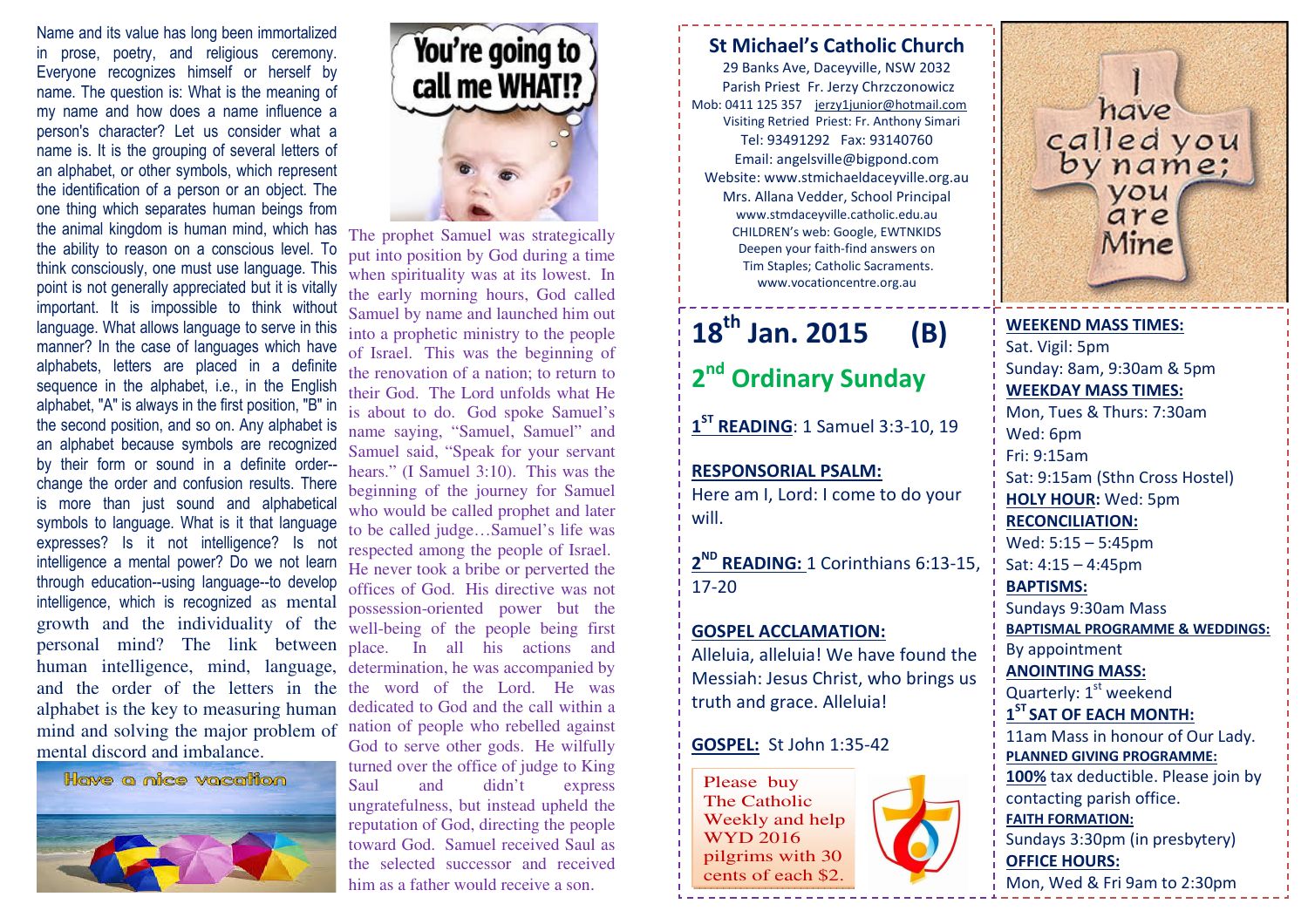personal mind? The link between place. In all his actions and human intelligence, mind, language, determination, he was accompanied by and the order of the letters in the the word of the Lord. He was mind and solving the major problem of nation of people who rebelled against Name and its value has long been immortalized in prose, poetry, and religious ceremony. Everyone recognizes himself or herself by name. The question is: What is the meaning of my name and how does a name influence a person's character? Let us consider what a name is. It is the grouping of several letters of an alphabet, or other symbols, which represent the identification of a person or an object. The one thing which separates human beings from the animal kingdom is human mind, which has the ability to reason on a conscious level. To think consciously, one must use language. This point is not generally appreciated but it is vitally important. It is impossible to think without language. What allows language to serve in this manner? In the case of languages which have alphabets, letters are placed in a definite sequence in the alphabet, i.e., in the English alphabet, "A" is always in the first position, "B" in the second position, and so on. Any alphabet is an alphabet because symbols are recognized by their form or sound in a definite order- change the order and confusion results. There is more than just sound and alphabetical symbols to language. What is it that language expresses? Is it not intelligence? Is not intelligence a mental power? Do we not learn through education--using language--to develop intelligence, which is recognized as mental growth and the individuality of the alphabet is the key to measuring human mental discord and imbalance.





The prophet Samuel was strategically put into position by God during a time when spirituality was at its lowest. In the early morning hours, God called Samuel by name and launched him out into a prophetic ministry to the people of Israel. This was the beginning of the renovation of a nation; to return to their God. The Lord unfolds what He is about to do. God spoke Samuel's name saying, "Samuel, Samuel" and Samuel said, "Speak for your servant hears." (I Samuel 3:10). This was the beginning of the journey for Samuel who would be called prophet and later to be called judge…Samuel's life was respected among the people of Israel. He never took a bribe or perverted the offices of God. His directive was not possession-oriented power but the well-being of the people being first dedicated to God and the call within a God to serve other gods. He wilfully turned over the office of judge to King Saul and didn't express ungratefulness, but instead upheld the reputation of God, directing the people toward God. Samuel received Saul as the selected successor and received him as a father would receive a son.

## St Michael's Catholic Church

29 Banks Ave, Daceyville, NSW 2032 Parish Priest Fr. Jerzy Chrzczonowicz Mob: 0411 125 357 jerzy1junior@hotmail.com Visiting Retried Priest: Fr. Anthony Simari Tel: 93491292 Fax: 93140760 Email: angelsville@bigpond.com Website: www.stmichaeldaceyville.org.au Mrs. Allana Vedder, School Principal www.stmdaceyville.catholic.edu.au CHILDREN's web: Google, EWTNKIDS Deepen your faith-find answers on Tim Staples; Catholic Sacraments. www.vocationcentre.org.au

# $18^{\text{th}}$  Jan. 2015 (B) 2<sup>nd</sup> Ordinary Sunday

 $1<sup>ST</sup>$  READING: 1 Samuel 3:3-10, 19

### RESPONSORIAL PSALM:

Here am I, Lord: I come to do your will.

2<sup>ND</sup> READING: 1 Corinthians 6:13-15, 17-20

#### GOSPEL ACCLAMATION:

Alleluia, alleluia! We have found the Messiah: Jesus Christ, who brings us truth and grace. Alleluia!

#### GOSPEL: St John 1:35-42

Please buy The Catholic Weekly and help WYD 2016 pilgrims with 30 cents of each \$2.



have called you you are Mine

WEEKEND MASS TIMES:Sat. Vigil: 5pm Sunday: 8am, 9:30am & 5pm WEEKDAY MASS TIMES: Mon, Tues & Thurs: 7:30am Wed: 6pm Fri: 9:15am Sat: 9:15am (Sthn Cross Hostel) HOLY HOUR: Wed: 5pm RECONCILIATION: Wed: 5:15 – 5:45pm Sat: 4:15 – 4:45pm BAPTISMS: Sundays 9:30am Mass BAPTISMAL PROGRAMME & WEDDINGS: By appointment ANOINTING MASS: Quarterly:  $1<sup>st</sup>$  weekend  $1<sup>ST</sup>$  SAT OF EACH MONTH: 11am Mass in honour of Our Lady. PLANNED GIVING PROGRAMME: 100% tax deductible. Please join by contacting parish office. FAITH FORMATION: Sundays 3:30pm (in presbytery) OFFICE HOURS: Mon, Wed & Fri 9am to 2:30pm